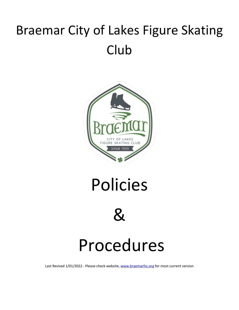# Braemar City of Lakes Figure Skating Club



Policies



# Procedures

Last Revised 1/01/2022 - Please check website, [www.braemarfsc.org](http://www.braemarfsc.org/) for most current version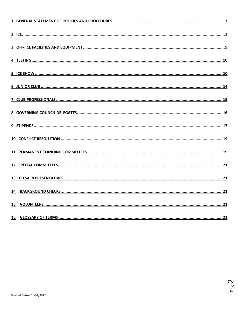| 15 |  |
|----|--|
|    |  |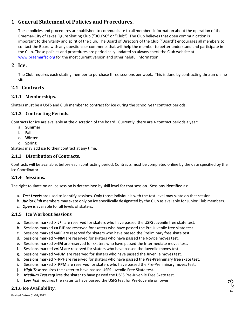# <span id="page-2-0"></span>**1 General Statement of Policies and Procedures.**

These policies and procedures are published to communicate to all members information about the operation of the Braemar-City of Lakes Figure Skating Club ("BCLFSC" or "Club"). The Club believes that open communication is important to the vitality and spirit of the club. The Board of Directors of the Club ("Board") encourages all members to contact the Board with any questions or comments that will help the member to better understand and participate in the Club. These policies and procedures are periodically updated so always check the Club website at [www.braemarfsc.org](http://www.braemarcityoflakesfsc.com./) for the most current version and other helpful information.

# <span id="page-2-1"></span>**2 Ice.**

The Club requires each skating member to purchase three sessions per week. This is done by contracting thru an online site.

# **2.1 Contracts**

## **2.1.1 Memberships.**

Skaters must be a USFS and Club member to contract for ice during the school year contract periods.

# **2.1.2 Contracting Periods.**

Contracts for ice are available at the discretion of the board. Currently, there are 4 contract periods a year:

- a. **Summer**
- b. **Fall**
- c. **Winter**
- d. **Spring**

Skaters may add ice to their contract at any time.

## **2.1.3 Distribution of Contracts.**

Contracts will be available, before each contracting period. Contracts must be completed online by the date specified by the Ice Coordinator.

## **2.1.4 Sessions.**

The right to skate on an ice session is determined by skill level for that session. Sessions identified as:

- a. *Test Levels* are used to identify sessions. Only those individuals with the test level may skate on that session.
- b. *Junior Club* members may skate only on ice specifically designated by the Club as available for Junior Club members.
- c. *Open* is available for all levels of skaters.

## **2.1.5 Ice Workout Sessions**

- a. Sessions marked **>=JF** are reserved for skaters who have passed the USFS Juvenile free skate test.
- b. Sessions marked **>= PJF** are reserved for skaters who have passed the Pre-Juvenile free skate test
- c. Sessions marked **>=PF** are reserved for skaters who have passed the Preliminary free skate test.
- d. Sessions marked **>=NM** are reserved for skaters who have passed the Novice moves test.
- e. Sessions marked **>=IM** are reserved for skaters who have passed the Intermediate moves test.
- f. Sessions marked **>=JM** are reserved for skaters who have passed the Juvenile moves test.
- g. Sessions marked **>=PJM** are reserved for skaters who have passed the Juvenile moves test.
- h. Sessions marked **>=PPF** are reserved for skaters who have passed the Pre-Preliminary free skate test.
- i. Sessions marked **>=PPM** are reserved for skaters who have passed the Pre-Preliminary moves test.
- j. *High Test* requires the skater to have passed USFS Juvenile Free Skate test.
- k. *Medium Test* requires the skater to have passed the USFS Pre-Juvenile Free Skate test.
- l. *Low Test* requires the skater to have passed the USFS test for Pre-Juvenile or lower.

# **2.1.6 Ice Availability.**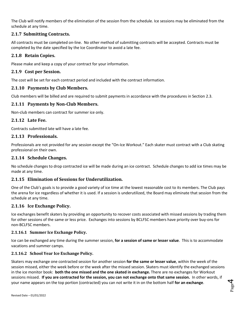The Club will notify members of the elimination of the session from the schedule. Ice sessions may be eliminated from the schedule at any time.

## **2.1.7 Submitting Contracts.**

All contracts must be completed on-line. No other method of submitting contracts will be accepted. Contracts must be completed by the date specified by the Ice Coordinator to avoid a late fee.

## **2.1.8 Retain Copies.**

Please make and keep a copy of your contract for your information.

### **2.1.9 Cost per Session.**

The cost will be set for each contract period and included with the contract information.

#### **2.1.10 Payments by Club Members.**

Club members will be billed and are required to submit payments in accordance with the procedures in Section 2.3.

#### **2.1.11 Payments by Non-Club Members.**

Non-club members can contract for summer ice only.

#### **2.1.12 Late Fee.**

Contracts submitted late will have a late fee.

#### **2.1.13 Professionals.**

Professionals are not provided for any session except the "On-Ice Workout." Each skater must contract with a Club skating professional on their own.

#### **2.1.14 Schedule Changes.**

No schedule changes to drop contracted ice will be made during an ice contract. Schedule changes to add ice times may be made at any time.

#### **2.1.15 Elimination of Sessions for Underutilization.**

One of the Club's goals is to provide a good variety of ice time at the lowest reasonable cost to its members. The Club pays the arena for ice regardless of whether it is used. If a session is underutilized, the Board may eliminate that session from the schedule at any time.

#### **2.1.16 Ice Exchange Policy.**

Ice exchanges benefit skaters by providing an opportunity to recover costs associated with missed sessions by trading them for other sessions of the same or less price. Exchanges into sessions by BCLFSC members have priority over buy-ons for non-BCLFSC members.

#### **2.1.16.1 Summer Ice Exchange Policy.**

Ice can be exchanged any time during the summer session, **for a session of same or lesser value**. This is to accommodate vacations and summer camps.

#### **2.1.16.2 School Year Ice Exchange Policy.**

Skaters may exchange one contracted session for another session **for the same or lesser value**, within the week of the session missed, either the week before or the week after the missed session. Skaters must identify the exchanged sessions in the ice monitor book: **both the one missed and the one skated in exchange.** There are no exchanges for Workout sessions missed. **If you are contracted for the session, you can not exchange onto that same session.** In other words, if your name appears on the top portion (contracted) you can not write it in on the bottom half **for an exchange**.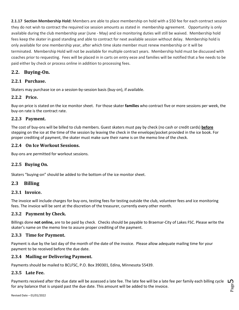**2.1.17 Section Membership Hold:** Members are able to place membership on hold with a \$50 fee for each contract session they do not wish to contract the required ice session amounts as stated in membership agreement. Opportunity is only available during the club membership year (June - May) and ice monitoring duties will still be waived. Membership hold fees keep the skater in good standing and able to contract for next available session without delay. Membership hold is only available for one membership year, after which time skate member must renew membership or it will be terminated. Membership Hold will not be available for multiple contract years. Membership hold must be discussed with coaches prior to requesting. Fees will be placed in in carts on entry eeze and families will be notified that a fee needs to be paid either by check or process online in addition to processing fees.

# **2.2. Buying-On.**

#### **2.2.1 Purchase.**

Skaters may purchase ice on a session-by-session basis (buy-on), if available.

#### **2.2.2 Price.**

Buy-on price is stated on the ice monitor sheet. For those skater **families** who contract five or more sessions per week, the buy-on rate is the contract rate.

#### **2.2.3 Payment.**

The cost of buy-ons will be billed to club members. Guest skaters must pay by check (no cash or credit cards) **before** stepping on the ice at the time of the session by leaving the check in the envelope/pocket provided in the ice book. For proper crediting of payment, the skater must make sure their name is on the memo line of the check.

#### **2.2.4 On Ice Workout Sessions.**

Buy-ons are permitted for workout sessions.

## **2.2.5 Buying On.**

Skaters "buying-on" should be added to the bottom of the ice monitor sheet.

## **2.3 Billing**

#### **2.3.1 Invoice.**

The invoice will include charges for buy-ons, testing fees for testing outside the club, volunteer fees and ice monitoring fees. The invoice will be sent at the discretion of the treasurer, currently every other month.

## **2.3.2 Payment by Check.**

Billings done **not online,** are to be paid by check. Checks should be payable to Braemar-City of Lakes FSC. Please write the skater's name on the memo line to assure proper crediting of the payment.

#### **2.3.3 Time for Payment.**

Payment is due by the last day of the month of the date of the invoice. Please allow adequate mailing time for your payment to be received before the due date.

#### **2.3.4 Mailing or Delivering Payment.**

Payments should be mailed to BCLFSC, P.O. Box 390301, Edina, Minnesota 55439.

#### **2.3.5 Late Fee.**

Payments received after the due date will be assessed a late fee. The late fee will be a late fee per family each billing cycle for any balance that is unpaid past the due date. This amount will be added to the invoice.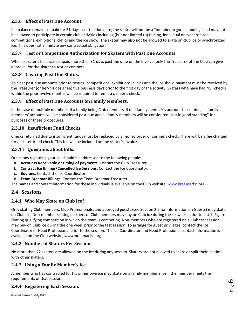# **2.3.6 Effect of Past Due Account.**

If a balance remains unpaid for 31 days past the due date, the skater will not be a "member in good standing" and may not be allowed to participate in certain club activities including (but not limited to) testing, individual or synchronized competitions, exhibitions, clinics and the ice show. The skater may also not be allowed to skate on club ice or synchronized ice. This does not eliminate any contractual obligation.

# **2.3.7 Test or Competition Authorization for Skaters with Past Due Accounts.**

When a skater's balance is unpaid more than 31 days past the date on the invoice, only the Treasurer of the Club can give approval for the skater to test or compete.

# **2.3.8 Clearing Past Due Status.**

To clear past due amounts prior to testing, competitions, exhibitions, clinics and the ice show, payment must be received by the Treasurer (or her/his designee) five business days prior to the first day of the activity. Skaters who have had NSF checks within the prior twelve months will be required to remit a cashier's check.

## **2.3.9 Effect of Past Due Accounts on Family Members.**

In the case of multiple members of a family being Club members, if one family member's account is past due, all family members' accounts will be considered past due and all family members will be considered "not in good standing" for purposes of these procedures.

## **2.3.10 Insufficient Fund Checks.**

Checks returned due to insufficient funds must be replaced by a money order or cashier's check. There will be a fee charged for each returned check. This fee will be included on the skater's invoice.

# **2.3.11 Questions about Bills.**

Questions regarding your bill should be addressed to the following people:

- a. **Accounts Receivable or timing of payments.** Contact the Club Treasurer.
- b. **Contract Ice Billings/Cancelled Ice Sessions.** Contact the Ice Coordinator.
- c. **Buy-ons**. Contact the Ice Coordinator.
- d. **Team Braemar Billings.** Contact the Team Braemar Treasurer.

The names and contact information for these individuals is available on the Club website, www.braemarfsc.org.

# **2.4 Sessions**

## **2.4.1 Who May Skate on Club Ice?**

Only skating Club members, Club Professionals, and approved guests (see Section 2.6 for information on Guests) may skate on Club ice. Non-member skating partners of Club members may buy on Club ice during the six weeks prior to a U.S. Figure Skating qualifying competition in which the team is competing. Non-members who are registered on a Club test session may buy on Club ice during the one week prior to the test session. To arrange for guest privileges, contact the Ice Coordinator or Head Professional prior to the session. The Ice Coordinator and Head Professional contact information is available on the Club website, www.braemarfsc.org.

## **2.4.2 Number of Skaters Per Session.**

No more than 22 skaters are allowed on the ice during any session. Skaters are not allowed to share or split their ice time with other skaters.

## **2.4.3 Using a Family Member's Ice.**

A member who has contracted for his or her own ice may skate on a family member's ice if the member meets the requirements of that session.

# **2.4.4 Registering Each Session.**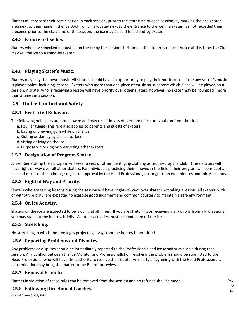Skaters must record their participation in each session, prior to the start time of each session, by marking the designated area next to their name in the Ice Book, which is located next to the entrance to the ice. If a skater has not recorded their presence prior to the start time of the session, the ice may be sold to a stand-by skater.

## **2.4.5 Failure to Use Ice.**

Skaters who have checked in must be on the ice by the session start time. If the skater is not on the ice at this time, the Club may sell the ice to a stand-by skater.

# **2.4.6 Playing Skater's Music.**

Skaters may play their own music. All skaters should have an opportunity to play their music once before any skater's music is played twice, including lessons. Skaters with more than one piece of music must choose which piece will be played on a session. A skater who is receiving a lesson will have priority over other skaters, however, no skater may be "bumped" more than 3 times in a session.

# **2.5 On Ice Conduct and Safety**

## **2.5.1 Restricted Behavior.**

The following behaviors are not allowed and may result in loss of permanent ice or expulsion from the club:

- a. Foul language (This rule also applies to parents and guests of skaters)
- b. Eating or chewing gum while on the ice
- c. Kicking or damaging the ice surface
- d. Sitting or lying on the ice
- e. Purposely blocking or obstructing other skaters

## **2.5.2 Designation of Program Skater.**

A member skating their program will wear a vest or other identifying clothing as required by the Club. These skaters will have right-of-way over all other skaters. For individuals practicing their "moves in the field," their program will consist of a piece of music of their choice, subject to approval by the Head Professional, no longer than two minutes and thirty seconds.

## **2.5.3 Right of Way and Priority.**

Skaters who are taking lessons during the session will have "right-of-way" over skaters not taking a lesson. All skaters, with or without priority, are expected to exercise good judgment and common courtesy to maintain a safe environment.

## **2.5.4 On Ice Activity.**

Skaters on the ice are expected to be moving at all times. If you are stretching or receiving instructions from a Professional, you may stand at the boards, briefly. All other activities must be conducted off the ice.

## **2.5.5 Stretching.**

No stretching in which the free leg is projecting away from the boards is permitted.

## **2.5.6 Reporting Problems and Disputes.**

Any problems or disputes should be immediately reported to the Professionals and Ice Monitor available during that session. Any conflict between the Ice Monitor and Professional(s) on resolving the problem should be submitted to the Head Professional who will have the authority to resolve the dispute. Any party disagreeing with the Head Professional's determination may bring the matter to the Board for review.

## **2.5.7 Removal From Ice.**

Skaters in violation of these rules can be removed from the session and no refunds shall be made.

## **2.5.8 Following Direction of Coaches.**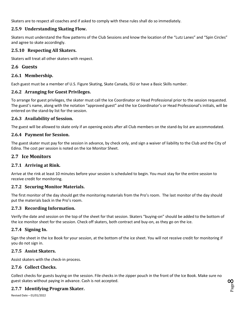Skaters are to respect all coaches and if asked to comply with these rules shall do so immediately.

# **2.5.9 Understanding Skating Flow.**

Skaters must understand the flow patterns of the Club Sessions and know the location of the "Lutz Lanes" and "Spin Circles" and agree to skate accordingly.

## **2.5.10 Respecting All Skaters.**

Skaters will treat all other skaters with respect.

# **2.6 Guests**

## **2.6.1 Membership.**

Each guest must be a member of U.S. Figure Skating, Skate Canada, ISU or have a Basic Skills number.

# **2.6.2 Arranging for Guest Privileges.**

To arrange for guest privileges, the skater must call the Ice Coordinator or Head Professional prior to the session requested. The guest's name, along with the notation "approved guest" and the Ice Coordinator's or Head Professional's initials, will be entered on the stand-by list for the session.

## **2.6.3 Availability of Session.**

The guest will be allowed to skate only if an opening exists after all Club members on the stand-by list are accommodated.

## **2.6.4 Payment for Session.**

The guest skater must pay for the session in advance, by check only, and sign a waiver of liability to the Club and the City of Edina. The cost per session is noted on the Ice Monitor Sheet.

# **2.7 Ice Monitors**

# **2.7.1 Arriving at Rink.**

Arrive at the rink at least 10 minutes before your session is scheduled to begin. You must stay for the entire session to receive credit for monitoring.

## **2.7.2 Securing Monitor Materials.**

The first monitor of the day should get the monitoring materials from the Pro's room. The last monitor of the day should put the materials back in the Pro's room.

## **2.7.3 Recording Information.**

Verify the date and session on the top of the sheet for that session. Skaters "buying-on" should be added to the bottom of the ice monitor sheet for the session. Check off skaters, both contract and buy-on, as they go on the ice.

# **2.7.4 Signing In.**

Sign the sheet in the Ice Book for your session, at the bottom of the ice sheet. You will not receive credit for monitoring if you do not sign in.

## **2.7.5 Assist Skaters.**

Assist skaters with the check-in process.

# **2.7.6 Collect Checks.**

Collect checks for guests buying on the session. File checks in the zipper pouch in the front of the Ice Book. Make sure no guest skates without paying in advance. Cash is not accepted.

# **2.7.7 Identifying Program Skater.**

Revised Date – 01/01/2022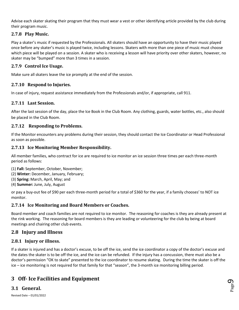Advise each skater skating their program that they must wear a vest or other identifying article provided by the club during their program music.

# **2.7.8 Play Music.**

Play a skater's music if requested by the Professionals. All skaters should have an opportunity to have their music played once before any skater's music is played twice, including lessons. Skaters with more than one piece of music must choose which piece will be played on a session. A skater who is receiving a lesson will have priority over other skaters, however, no skater may be "bumped" more than 3 times in a session.

## **2.7.9 Control Ice Usage.**

Make sure all skaters leave the ice promptly at the end of the session.

# **2.7.10 Respond to Injuries.**

In case of injury, request assistance immediately from the Professionals and/or, if appropriate, call 911.

# **2.7.11 Last Session.**

After the last session of the day, place the Ice Book in the Club Room. Any clothing, guards, water bottles, etc., also should be placed in the Club Room.

# **2.7.12 Responding to Problems.**

If the Monitor encounters any problems during their session, they should contact the Ice Coordinator or Head Professional as soon as possible.

## **2.7.13 Ice Monitoring Member Responsibility.**

All member families, who contract for ice are required to ice monitor an ice session three times per each three-month period as follows:

- (1) **Fall:** September, October, November;
- (2) **Winter:** December, January, February;
- (3) **Spring:** March, April, May; and
- (4) **Summer:** June, July, August

or pay a buy-out fee of \$90 per each three-month period for a total of \$360 for the year, if a family chooses' to NOT ice monitor.

## **2.7.14 Ice Monitoring and Board Members or Coaches.**

Board member and coach families are not required to ice monitor. The reasoning for coaches is they are already present at the rink working. The reasoning for board members is they are leading or volunteering for the club by being at board meetings and chairing other club events.

# **2.8 Injury and Illness**

## **2.8.1 Injury or illness.**

If a skater is injured and has a doctor's excuse, to be off the ice, send the ice coordinator a copy of the doctor's excuse and the dates the skater is to be off the ice, and the ice can be refunded. If the injury has a concussion, there must also be a doctor's permission "OK to skate" presented to the ice coordinator to resume skating. During the time the skater is off the ice – ice monitoring is not required for that family for that "season", the 3-month ice monitoring billing period.

# <span id="page-8-0"></span>**3 Off- Ice Facilities and Equipment**

## **3.1 General.**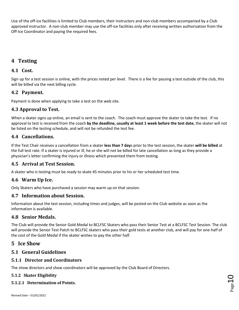Use of the off-ice facilities is limited to Club members, their instructors and non-club members accompanied by a Club approved instructor. A non-club member may use the off-ice facilities only after receiving written authorization from the Off-Ice Coordinator and paying the required fees.

# <span id="page-9-0"></span>**4 Testing**

# **4.1 Cost.**

Sign up for a test session is online, with the prices noted per level. There is a fee for passing a test outside of the club, this will be billed via the next billing cycle.

# **4.2 Payment.**

Payment is done when applying to take a test on the web site.

# **4.3 Approval to Test.**

When a skater signs up online, an email is sent to the coach. The coach must approve the skater to take the test. If no approval to test is received from the coach **by the deadline, usually at least 1 week before the test date**, the skater will not be listed on the testing schedule, and will not be refunded the test fee.

# **4.4 Cancellations.**

If the Test Chair receives a cancellation from a skater **less than 7 day**s prior to the test session, the skater **will be billed** at the full test rate. If a skater is injured or ill, he or she will not be billed for late cancellation as long as they provide a physician's letter confirming the injury or illness which prevented them from testing.

# **4.5 Arrival at Test Session.**

A skater who is testing must be ready to skate 45 minutes prior to his or her scheduled test time.

# **4.6 Warm Up Ice.**

Only Skaters who have purchased a session may warm up on that session.

# **4.7 Information about Session.**

Information about the test session, including times and judges, will be posted on the Club website as soon as the information is available.

# **4.8 Senior Medals.**

The Club will provide the Senior Gold Medal to BCLFSC Skaters who pass their Senior Test at a BCLFSC Test Session. The club will provide the Senior Test Patch to BCLFSC skaters who pass their gold tests at another club, and will pay for one-half of the cost of the Gold Medal if the skater wishes to pay the other half.

# <span id="page-9-1"></span>**5 Ice Show**

# **5.1 General Guidelines**

## **5.1.1 Director and Coordinators**

The show directors and show coordinators will be approved by the Club Board of Directors.

#### **5.1.2 Skater Eligibility**

#### **5.1.2.1 Determination of Points.**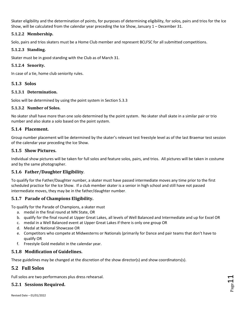Skater eligibility and the determination of points, for purposes of determining eligibility, for solos, pairs and trios for the Ice Show, will be calculated from the calendar year preceding the Ice Show, January 1 – December 31.

#### **5.1.2.2 Membership.**

Solo, pairs and trios skaters must be a Home Club member and represent BCLFSC for all submitted competitions.

#### **5.1.2.3 Standing.**

Skater must be in good standing with the Club as of March 31.

#### **5.1.2.4 Senority.**

In case of a tie, home club seniority rules.

#### **5.1.3 Solos**

#### **5.1.3.1 Determination.**

Solos will be determined by using the point system in Section 5.3.3

#### **5.1.3.2 Number of Solos.**

No skater shall have more than one solo determined by the point system. No skater shall skate in a similar pair or trio number and also skate a solo based on the point system.

#### **5.1.4 Placement.**

Group number placement will be determined by the skater's relevant test freestyle level as of the last Braemar test session of the calendar year preceding the Ice Show.

#### **5.1.5 Show Pictures.**

Individual show pictures will be taken for full solos and feature solos, pairs, and trios. All pictures will be taken in costume and by the same photographer.

## **5.1.6 Father/Daughter Eligibility**.

To qualify for the Father/Daughter number, a skater must have passed intermediate moves any time prior to the first scheduled practice for the Ice Show. If a club member skater is a senior in high school and still have not passed intermediate moves, they may be in the father/daughter number.

## **5.1.7 Parade of Champions Eligibility.**

To qualify for the Parade of Champions, a skater must

- a. medal in the final round at MN State, OR
- b. qualify for the final round at Upper Great Lakes, all levels of Well Balanced and Intermediate and up for Excel OR
- c. medal in a Well Balanced event at Upper Great Lakes if there is only one group OR
- d. Medal at National Showcase OR
- e. Competitors who compete at Midwesterns or Nationals (primarily for Dance and pair teams that don't have to qualify OR
- f. Freestyle Gold medalist in the calendar year.

## **5.1.8 Modification of Guidelines.**

These guidelines may be changed at the discretion of the show director(s) and show coordinators(s).

# **5.2 Full Solos**

Full solos are two performances plus dress rehearsal.

# **5.2.1 Sessions Required.**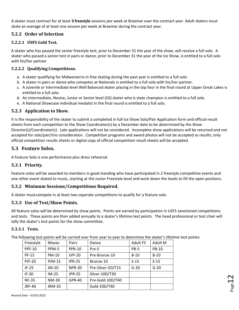A skater must contract for at least **3 freestyle** sessions per week at Braemar over the contract year. Adult skaters must skate an average of at least one session per week at Braemar during the contract year.

# **5.2.2 Order of Selection**

#### **5.2.2.1 USFS Gold Test.**

A skater who has passed the senior freestyle test, prior to December 31 the year of the show, will receive a full solo. A skater who passed a senior test in pairs or dance, prior to December 31 the year of the Ice Show, is entitled to a full solo with his/her partner

#### **5.2.2.2 Qualifying Competitions.**

- a. A skater qualifying for Midwesterns in free skating during the past year is entitled to a full solo.
- b. A skater in pairs or dance who competes at Nationals is entitled to a full solo with his/her partner.
- c. A Juvenile or Intermediate level Well Balanced skater placing in the top four in the final round at Upper Great Lakes is entitled to a full solo.
- d. An Intermediate, Novice, Junior or Senior level (IJS) skater who is state champion is entitled to a full solo.
- e. A National Showcase individual medalist in the final round is entitled to a full solo.

#### **5.2.3 Application to Show.**

It is the responsibility of the skater to submit a completed in full Ice Show Solo/Pair Application form and official result sheets from each competition to the Show Coordinator(s) by a December date to be determined by the Show Director(s)/Coordinator(s). Late applications will not be considered. Incomplete show applications will be returned and not accepted for solo/pair/trio consideration. Competition programs and award photos will not be accepted as results; only official competition results sheets or digital copy of official competition result sheets will be accepted.

## **5.3 Feature Solos.**

A Feature Solo is one performance plus dress rehearsal.

## **5.3.1 Priority.**

Feature solos will be awarded to members in good standing who have participated in 2 freestyle competitive events and one other event skated to music, starting at the Junior Freestyle level and work down the levels to fill the open positions.

#### **5.3.2 Minimum Sessions/Competitions Required.**

A skater must compete in at least two separate competitions to qualify for a feature solo.

#### **5.3.3 Use of Test/Show Points.**

All feature solos will be determined by show points. Points are earned by participation in USFS sanctioned competitions and tests. These points are then added annually to a skater's lifetime test points. The head professional or test chair will tally the skater's test points for the show committee.

#### **5.3.3.1 Tests.**

The following test points will be carried over from year to year to determine the skater's lifetime test points:

| Freestyle     | <b>Moves</b>  | Pairs         | Dance             | <b>Adult FS</b> | Adult M |
|---------------|---------------|---------------|-------------------|-----------------|---------|
| <b>PPF-10</b> | PPM-5         | <b>PPR-10</b> | Pre-5             | <b>PB-5</b>     | PB-10   |
| <b>PF-15</b>  | PM-10         | <b>JVP-20</b> | Pre-Bronze-10     | $B-10$          | $B-10$  |
| <b>PJF-20</b> | <b>PJM-15</b> | <b>IPR-25</b> | Bronze-10         | $S-15$          | $S-15$  |
| $JF-25$       | $JM-20$       | <b>NPR-30</b> | Pre-Silver-5D/T15 | $G-20$          | $G-20$  |
| $IF-30$       | $IM-25$       | <b>JPR-35</b> | Silver-10D/T30    |                 |         |
| <b>NF-35</b>  | <b>NM-30</b>  | <b>GPR-40</b> | Pre-Gold-10D/T40  |                 |         |
| <b>JRF-40</b> | <b>JRM-35</b> |               | Gold-10D/T40      |                 |         |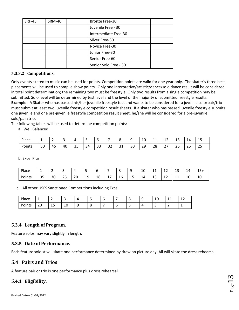| <b>SRF-45</b> | <b>SRM-40</b> | <b>Bronze Free-30</b> |  |
|---------------|---------------|-----------------------|--|
|               |               | Juvenile Free - 30    |  |
|               |               | Intermediate Free-30  |  |
|               |               | Silver Free-30        |  |
|               |               | Novice Free-30        |  |
|               |               | Junior Free-30        |  |
|               |               | Senior Free-60        |  |
|               |               | Senior Solo Free - 30 |  |
|               |               |                       |  |

#### **5.3.3.2 Competitions.**

Only events skated to music can be used for points. Competition points are valid for one year only. The skater's three best placements will be used to compile show points. Only one interpretive/artistic/dance/solo dance result will be considered in total point determination; the remaining two must be freestyle. Only two results from a single competition may be submitted. Solo level will be determined by test level and the level of the majority of submitted freestyle results. **Example:** A Skater who has passed his/her juvenile freestyle test and wants to be considered for a juvenile solo/pair/trio must submit at least two juvenile freestyle competition result sheets. If a skater who has passed juvenile freestyle submits one juvenile and one pre-juvenile freestyle competition result sheet, he/she will be considered for a pre-juvenile solo/pair/trio.

The following tables will be used to determine competition points:

a. Well Balanced

| Place  | -  | -        |    |    | -  | -                       |                      |             | u  | $\overline{ }$<br>10 | <b>. .</b> | ∸∸         | -<br>-- | 14                     | ∽<br>ᅩJ              |
|--------|----|----------|----|----|----|-------------------------|----------------------|-------------|----|----------------------|------------|------------|---------|------------------------|----------------------|
| Points | 50 | 45<br>᠇┙ | 40 | 35 | 34 | $\mathbin{\lnot}$<br>33 | $\sim$ $\sim$<br>ے ت | $\sim$<br>ັ | 30 | 29<br>ر ے            | 28         | $\sim$ $-$ | 26      | $\sim$ $-$<br><u>_</u> | $\sim$ $\sim$<br>ت ک |

b. Excel Plus

| Place  | -                          | -<br>- | -<br>۰   |    | -<br>-   | $\sim$ |          |              | $\sqrt{2}$<br>ີ<br>٠ | $\sim$<br>10  | + +     | -<br>--                                  | $\sim$<br>-<br>ب    | 14 | +כ⊥ |
|--------|----------------------------|--------|----------|----|----------|--------|----------|--------------|----------------------|---------------|---------|------------------------------------------|---------------------|----|-----|
| Points | $\cap$ $\Gamma$<br>⇠<br>رر | 30     | つに<br>رے | 20 | 19<br>-- | 18     | ۰<br>д., | $\sim$<br>16 | $\sim$<br>ر _        | -<br>۱Δ<br>-- | -<br>ᅩ┙ | $\overline{\phantom{a}}$<br>. . <i>.</i> | $\overline{A}$<br>ᆠ | 10 | 10  |

#### c. All other USFS Sanctioned Competitions including Excel

| Place  | -<br>— | -<br>-<br>-   | سه           |        | - | - | -<br>ັ | - | ⊥∪ | $\overline{\phantom{a}}$<br>. . | $\sim$<br>∸∸ |
|--------|--------|---------------|--------------|--------|---|---|--------|---|----|---------------------------------|--------------|
| Points | 20     | $\sim$<br>ر _ | $\sim$<br>ΤÛ | o<br>- | c | ັ | ٠      |   |    | ∽<br>-                          | . .<br>_     |

#### **5.3.4 Length of Program.**

Feature solos may vary slightly in length.

#### **5.3.5 Date of Performance.**

Each feature soloist will skate one performance determined by draw on picture day. All will skate the dress rehearsal.

## **5.4 Pairs and Trios**

A feature pair or trio is one performance plus dress rehearsal.

## **5.4.1 Eligibility.**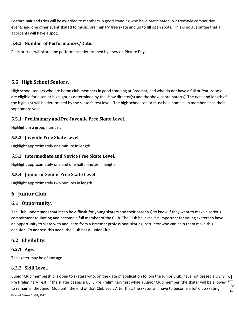Feature pair and trios will be awarded to members in good standing who have participated in 2 freestyle competitive events and one other event skated to music, preliminary free skate and up to fill open spots. This is no guarantee that all applicants will have a spot.

## **5.4.2 Number of Performances/Date.**

Pairs or trios will skate one performance determined by draw on Picture Day.

# **5.5 High School Seniors.**

High school seniors who are home club members in good standing at Braemar, and who do not have a full or feature solo, are eligible for a senior highlight as determined by the show director(s) and the show coordinator(s). The type and length of the highlight will be determined by the skater's test level. The high school senior must be a home club member since their sophomore year.

# **5.5.1 Preliminary and Pre-Juvenile Free Skate Level.**

Highlight in a group number.

# **5.5.2 Juvenile Free Skate Level**.

Highlight approximately one minute in length.

## **5.5.3 Intermediate and Novice Free Skate Level.**

Highlight approximately one and one half minutes in length

## **5.5.4 Junior or Senior Free Skate Level.**

Highlight approximately two minutes in length.

# <span id="page-13-0"></span>**6 Junior Club**

# **6.1 Opportunity.**

The Club understands that it can be difficult for young skaters and their parent(s) to know if they want to make a serious commitment to skating and become a full member of the Club. The Club believes it is important for young skaters to have an opportunity to skate with and learn from a Braemar professional skating instructor who can help them make this decision. To address this need, the Club has a Junior Club.

# **6.2 Eligibility.**

## **6.2.1 Age.**

The skater may be of any age.

## **6.2.2 Skill Level.**

 $_{\rm Page}$ 14 Junior Club membership is open to skaters who, on the date of application to join the Junior Club, have not passed a USFS Pre Preliminary Test. If the skater passes a USFS Pre Preliminary test while a Junior Club member, the skater will be allowed to remain in the Junior Club until the end of that Club year. After that, the skater will have to become a full Club skating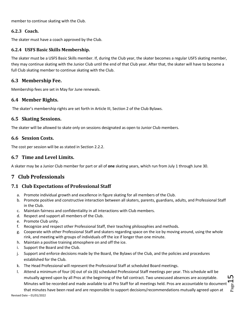member to continue skating with the Club.

## **6.2.3 Coach.**

The skater must have a coach approved by the Club.

### **6.2.4 USFS Basic Skills Membership.**

The skater must be a USFS Basic Skills member. If, during the Club year, the skater becomes a regular USFS skating member, they may continue skating with the Junior Club until the end of that Club year. After that, the skater will have to become a full Club skating member to continue skating with the Club.

# **6.3 Membership Fee.**

Membership fees are set in May for June renewals.

## **6.4 Member Rights.**

The skater's membership rights are set forth in Article III, Section 2 of the Club Bylaws.

# **6.5 Skating Sessions.**

The skater will be allowed to skate only on sessions designated as open to Junior Club members.

# **6.6 Session Costs.**

The cost per session will be as stated in Section 2.2.2.

# **6.7 Time and Level Limits.**

A skater may be a Junior Club member for part or all of **one** skating years, which run from July 1 through June 30.

# <span id="page-14-0"></span>**7 Club Professionals**

# **7.1 Club Expectations of Professional Staff**

- a. Promote individual growth and excellence in figure skating for all members of the Club.
- b. Promote positive and constructive interaction between all skaters, parents, guardians, adults, and Professional Staff in the Club.
- c. Maintain fairness and confidentiality in all interactions with Club members.
- d. Respect and support all members of the Club.
- e. Promote Club unity.
- f. Recognize and respect other Professional Staff, their teaching philosophies and methods.
- g. Cooperate with other Professional Staff and skaters regarding space on the ice by moving around, using the whole rink, and meeting with groups of individuals off the ice if longer than one minute.
- h. Maintain a positive training atmosphere on and off the ice.
- i. Support the Board and the Club.
- j. Support and enforce decisions made by the Board, the Bylaws of the Club, and the policies and procedures established for the Club.
- k. The Head Professional will represent the Professional Staff at scheduled Board meetings.
- l. Attend a minimum of four (4) out of six (6) scheduled Professional Staff meetings per year. This schedule will be mutually agreed upon by all Pros at the beginning of the fall contract. Two unexcused absences are acceptable. Minutes will be recorded and made available to all Pro Staff for all meetings held. Pros are accountable to document that minutes have been read and are responsible to support decisions/recommendations mutually agreed upon at

 $P_{\rm age}$ 15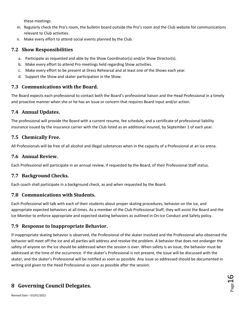these meetings.

- m. Regularly check the Pro's room, the bulletin board outside the Pro's room and the Club website for communications relevant to Club activities.
- n. Make every effort to attend social events planned by the Club.

# **7.2 Show Responsibilities**

- a. Participate as requested and able by the Show Coordinator(s) and/or Show Director(s).
- b. Make every effort to attend Pro meetings held regarding Show activities.
- c. Make every effort to be present at Dress Rehearsal and at least one of the Shows each year.
- d. Support the Show and skater participation in the Show.

# **7.3 Communications with the Board.**

The Board expects each professional to contact both the Board's professional liaison and the Head Professional in a timely and proactive manner when she or he has an issue or concern that requires Board input and/or action.

# **7.4 Annual Updates.**

The professional will provide the Board with a current resume, fee schedule, and a certificate of professional liability insurance issued by the insurance carrier with the Club listed as an additional insured, by September 1 of each year.

# **7.5 Chemically Free.**

All Professionals will be free of all alcohol and illegal substances when in the capacity of a Professional at an ice arena.

# **7.6 Annual Review.**

Each Professional will participate in an annual review, if requested by the Board, of their Professional Staff status.

# **7.7 Background Checks.**

Each coach shall participate in a background check, as and when requested by the Board.

# **7.8 Communications with Students.**

Each Professional will talk with each of their students about proper skating procedures, behavior on the ice, and appropriate expected behaviors at all times. As a member of the Club Professional Staff, they will assist the Board and the Ice Monitor to enforce appropriate and expected skating behaviors as outlined in On-Ice Conduct and Safety policy.

# **7.9 Response to Inappropriate Behavior.**

If inappropriate skating behavior is observed, the Professional of the skater involved and the Professional who observed the behavior will meet off the ice and all parties will address and resolve the problem. A behavior that does not endanger the safety of anyone on the ice should be addressed when the session is over. When safety is an issue, the behavior must be addressed at the time of the occurrence. If the skater's Professional is not present, the issue will be discussed with the skater, and the skater's Professional will be notified as soon as possible. Any issue so addressed should be documented in writing and given to the Head Professional as soon as possible after the session.

# <span id="page-15-0"></span>**8 Governing Council Delegates.**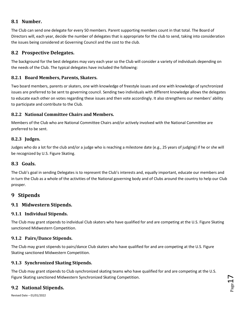# **8.1 Number.**

The Club can send one delegate for every 50 members. Parent supporting members count in that total. The Board of Directors will, each year, decide the number of delegates that is appropriate for the club to send, taking into consideration the issues being considered at Governing Council and the cost to the club.

# **8.2 Prospective Delegates.**

The background for the best delegates may vary each year so the Club will consider a variety of individuals depending on the needs of the Club. The typical delegates have included the following:

# **8.2.1 Board Members, Parents, Skaters.**

Two board members, parents or skaters, one with knowledge of freestyle issues and one with knowledge of synchronized issues are preferred to be sent to governing council. Sending two individuals with different knowledge allows the delegates to educate each other on votes regarding these issues and then vote accordingly. It also strengthens our members' ability to participate and contribute to the Club.

# **8.2.2 National Committee Chairs and Members.**

Members of the Club who are National Committee Chairs and/or actively involved with the National Committee are preferred to be sent.

# **8.2.3 Judges.**

Judges who do a lot for the club and/or a judge who is reaching a milestone date (e.g., 25 years of judging) if he or she will be recognized by U.S. Figure Skating.

# **8.3 Goals.**

The Club's goal in sending Delegates is to represent the Club's interests and, equally important, educate our members and in turn the Club as a whole of the activities of the National governing body and of Clubs around the country to help our Club prosper.

# <span id="page-16-0"></span>**9 Stipends**

# **9.1 Midwestern Stipends.**

## **9.1.1 Individual Stipends.**

The Club may grant stipends to individual Club skaters who have qualified for and are competing at the U.S. Figure Skating sanctioned Midwestern Competition.

## **9.1.2 Pairs/Dance Stipends.**

The Club may grant stipends to pairs/dance Club skaters who have qualified for and are competing at the U.S. Figure Skating sanctioned Midwestern Competition.

# **9.1.3 Synchronized Skating Stipends.**

The Club may grant stipends to Club synchronized skating teams who have qualified for and are competing at the U.S. Figure Skating sanctioned Midwestern Synchronized Skating Competition.

# **9.2 National Stipends.**

Revised Date – 01/01/2022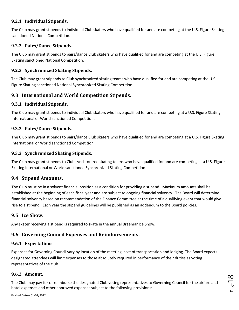## **9.2.1 Individual Stipends.**

The Club may grant stipends to individual Club skaters who have qualified for and are competing at the U.S. Figure Skating sanctioned National Competition.

# **9.2.2 Pairs/Dance Stipends.**

The Club may grant stipends to pairs/dance Club skaters who have qualified for and are competing at the U.S. Figure Skating sanctioned National Competition.

# **9.2.3 Synchronized Skating Stipends.**

The Club may grant stipends to Club synchronized skating teams who have qualified for and are competing at the U.S. Figure Skating sanctioned National Synchronized Skating Competition.

# **9.3 International and World Competition Stipends.**

# **9.3.1 Individual Stipends.**

The Club may grant stipends to individual Club skaters who have qualified for and are competing at a U.S. Figure Skating International or World sanctioned Competition.

## **9.3.2 Pairs/Dance Stipends.**

The Club may grant stipends to pairs/dance Club skaters who have qualified for and are competing at a U.S. Figure Skating International or World sanctioned Competition.

## **9.3.3 Synchronized Skating Stipends.**

The Club may grant stipends to Club synchronized skating teams who have qualified for and are competing at a U.S. Figure Skating International or World sanctioned Synchronized Skating Competition.

# **9.4 Stipend Amounts.**

The Club must be in a solvent financial position as a condition for providing a stipend. Maximum amounts shall be established at the beginning of each fiscal year and are subject to ongoing financial solvency. The Board will determine financial solvency based on recommendation of the Finance Committee at the time of a qualifying event that would give rise to a stipend. Each year the stipend guidelines will be published as an addendum to the Board policies.

# **9.5 Ice Show.**

Any skater receiving a stipend is required to skate in the annual Braemar Ice Show.

# **9.6 Governing Council Expenses and Reimbursements.**

# **9.6.1 Expectations.**

Expenses for Governing Council vary by location of the meeting, cost of transportation and lodging. The Board expects designated attendees will limit expenses to those absolutely required in performance of their duties as voting representatives of the club.

# **9.6.2 Amount.**

The Club may pay for or reimburse the designated Club voting representatives to Governing Council for the airfare and hotel expenses and other approved expenses subject to the following provisions: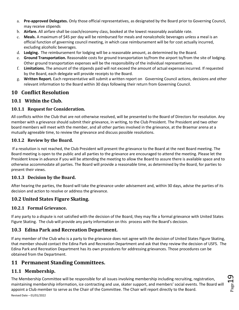- a. **Pre-approved Delegates.** Only those official representatives, as designated by the Board prior to Governing Council, may receive stipends
- b. **Airfare.** All airfare shall be coach/economy class, booked at the lowest reasonably available rate.
- c. **Meals.** A maximum of \$45 per day will be reimbursed for meals and nonalcoholic beverages unless a meal is an official function of governing council meeting, in which case reimbursement will be for cost actually incurred, excluding alcoholic beverages.
- d. **Lodging.** The reimbursement for lodging will be a reasonable amount, as determined by the Board.
- e. **Ground Transportation.** Reasonable costs for ground transportation to/from the airport to/from the site of lodging. Other ground transportation expenses will be the responsibility of the individual representatives.
- f. **Limitations.** The amount of the stipends paid will not exceed the amount of actual expenses incurred. If requested by the Board, each delegate will provide receipts to the Board.
- g. **Written Report.** Each representative will submit a written report on Governing Council actions, decisions and other relevant information to the Board within 30 days following their return from Governing Council.

# <span id="page-18-0"></span>**10 Conflict Resolution**

# **10.1 Within the Club.**

## **10.1.1 Request for Consideration.**

All conflicts within the Club that are not otherwise resolved, will be presented to the Board of Directors for resolution. Any member with a grievance should submit their grievance, in writing, to the Club President. The President and two other board members will meet with the member, and all other parties involved in the grievance, at the Braemar arena at a mutually agreeable time, to review the grievance and discuss possible resolutions.

## **10.1.2 Review by the Board.**

If a resolution is not reached, the Club President will present the grievance to the Board at the next Board meeting. The Board meeting is open to the public and all parties to the grievance are encouraged to attend the meeting. Please let the President know in advance if you will be attending the meeting to allow the Board to assure there is available space and to otherwise accommodate all parties. The Board will provide a reasonable time, as determined by the Board, for parties to present their views.

## **10.1.3 Decision by the Board.**

After hearing the parties, the Board will take the grievance under advisement and, within 30 days, advise the parties of its decision and action to resolve or address the grievance.

# **10.2 United States Figure Skating.**

## **10.2.1 Formal Grievance.**

If any party to a dispute is not satisfied with the decision of the Board, they may file a formal grievance with United States Figure Skating. The club will provide any party information on this process with the Board's decision.

# **10.3 Edina Park and Recreation Department.**

If any member of the Club who is a party to the grievance does not agree with the decision of United States Figure Skating, that member should contact the Edina Park and Recreation Department and ask that they review the decision of USFS. The Edina Park and Recreation Department has its own procedures for addressing grievances. Those procedures can be obtained from the Department.

# <span id="page-18-1"></span>**11 Permanent Standing Committees.**

# **11.1 Membership.**

Revised Date – 01/01/2022 The Membership Committee will be responsible for all issues involving membership including recruiting, registration, maintaining membership information, ice contracting and use, skater support, and members' social events. The Board will appoint a Club member to serve as the Chair of the Committee. The Chair will report directly to the Board.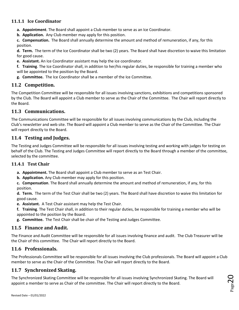# **11.1.1 Ice Coordinator**

- **a. Appointment**. The Board shall appoint a Club member to serve as an Ice Coordinator.
- **b. Application.** Any Club member may apply for this position.

**c. Compensation.** The Board shall annually determine the amount and method of remuneration, if any, for this position.

**d. Term.** The term of the Ice Coordinator shall be two (2) years. The Board shall have discretion to waive this limitation for good cause.

**e. Assistant.** An Ice Coordinator assistant may help the ice coordinator.

**f. Training**. The Ice Coordinator shall, in addition to her/his regular duties, be responsible for training a member who will be appointed to the position by the Board.

**g. Committee.** The Ice Coordinator shall be a member of the Ice Committee.

# **11.2 Competition.**

The Competition Committee will be responsible for all issues involving sanctions, exhibitions and competitions sponsored by the Club. The Board will appoint a Club member to serve as the Chair of the Committee. The Chair will report directly to the Board.

## **11.3 Communications.**

The Communications Committee will be responsible for all issues involving communications by the Club, including the Club's newsletter and web site. The Board will appoint a Club member to serve as the Chair of the Committee. The Chair will report directly to the Board.

# **11.4 Testing and Judges.**

The Testing and Judges Committee will be responsible for all issues involving testing and working with judges for testing on behalf of the Club. The Testing and Judges Committee will report directly to the Board through a member of the committee, selected by the committee.

## **11.4.1 Test Chair**

- **a. Appointment.** The Board shall appoint a Club member to serve as an Test Chair.
- **b. Application.** Any Club member may apply for this position.

**c. Compensation**. The Board shall annually determine the amount and method of remuneration, if any, for this position.

**d. Term.** The term of the Test Chair shall be two (2) years. The Board shall have discretion to waive this limitation for good cause.

- **e. Assistant.** A Test Chair assistant may help the Test Chair.
- **f. Training**. The Test Chair shall, in addition to their regular duties, be responsible for training a member who will be appointed to the position by the Board.
- **g. Committee.** The Test Chair shall be chair of the Testing and Judges Committee.

# **11.5 Finance and Audit.**

The Finance and Audit Committee will be responsible for all issues involving finance and audit. The Club Treasurer will be the Chair of this committee. The Chair will report directly to the Board.

# **11.6 Professionals.**

The Professionals Committee will be responsible for all issues involving the Club professionals. The Board will appoint a Club member to serve as the Chair of the Committee. The Chair will report directly to the Board.

# **11.7 Synchronized Skating.**

The Synchronized Skating Committee will be responsible for all issues involving Synchronized Skating. The Board will appoint a member to serve as Chair of the committee. The Chair will report directly to the Board.